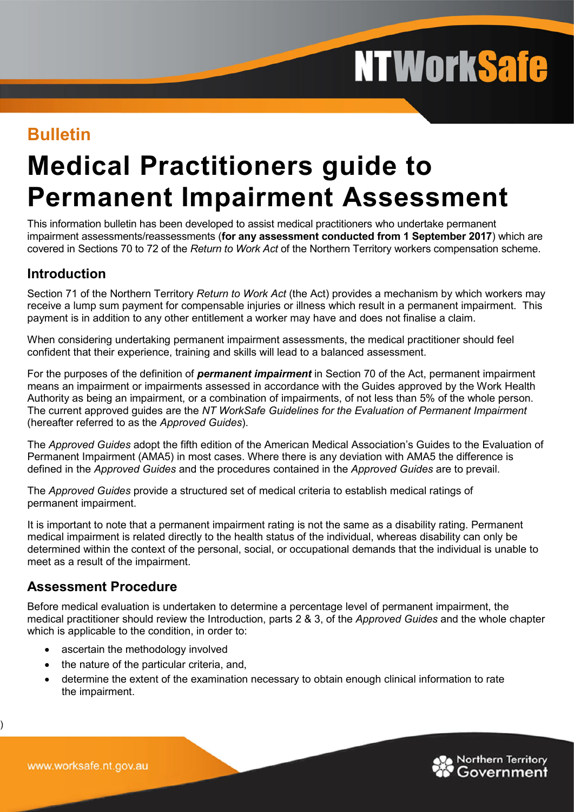# **NTWorkSafe**

### **Bulletin**

## **Medical Practitioners guide to Permanent Impairment Assessment**

This information bulletin has been developed to assist medical practitioners who undertake permanent impairment assessments/reassessments (**for any assessment conducted from 1 September 2017**) which are covered in Sections 70 to 72 of the *Return to Work Act* of the Northern Territory workers compensation scheme.

#### **Introduction**

Section 71 of the Northern Territory *Return to Work Act* (the Act) provides a mechanism by which workers may receive a lump sum payment for compensable injuries or illness which result in a permanent impairment. This payment is in addition to any other entitlement a worker may have and does not finalise a claim.

When considering undertaking permanent impairment assessments, the medical practitioner should feel confident that their experience, training and skills will lead to a balanced assessment.

For the purposes of the definition of *permanent impairment* in Section 70 of the Act, permanent impairment means an impairment or impairments assessed in accordance with the Guides approved by the Work Health Authority as being an impairment, or a combination of impairments, of not less than 5% of the whole person. The current approved guides are the *NT WorkSafe Guidelines for the Evaluation of Permanent Impairment* (hereafter referred to as the *Approved Guides*).

The *Approved Guides* adopt the fifth edition of the American Medical Association's Guides to the Evaluation of Permanent Impairment (AMA5) in most cases. Where there is any deviation with AMA5 the difference is defined in the *Approved Guides* and the procedures contained in the *Approved Guides* are to prevail.

The *Approved Guides* provide a structured set of medical criteria to establish medical ratings of permanent impairment.

It is important to note that a permanent impairment rating is not the same as a disability rating. Permanent medical impairment is related directly to the health status of the individual, whereas disability can only be determined within the context of the personal, social, or occupational demands that the individual is unable to meet as a result of the impairment.

#### **Assessment Procedure**

Before medical evaluation is undertaken to determine a percentage level of permanent impairment, the medical practitioner should review the Introduction, parts 2 & 3, of the *Approved Guides* and the whole chapter which is applicable to the condition, in order to:

- ascertain the methodology involved
- the nature of the particular criteria, and,
- determine the extent of the examination necessary to obtain enough clinical information to rate the impairment.



)